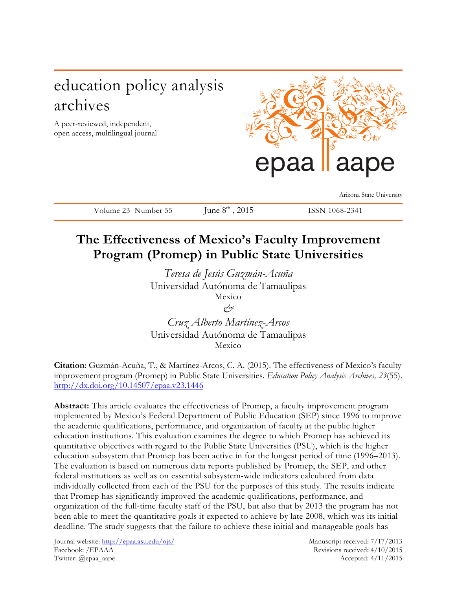# education policy analysis archives

A peer-reviewed, independent, open access, multilingual journal



Arizona State University

Volume 23 Number 55 June  $8<sup>th</sup>$ , 2015 ISSN 1068-2341

# **The Effectiveness of Mexico's Faculty Improvement Program (Promep) in Public State Universities**

*Teresa de Jesús Guzmán-Acuña* Universidad Autónoma de Tamaulipas Mexico

*&*

*Cruz Alberto Martínez-Arcos* Universidad Autónoma de Tamaulipas Mexico

**Citation**: Guzmán-Acuña, T., & Martínez-Arcos, C. A. (2015). The effectiveness of Mexico's faculty improvement program (Promep) in Public State Universities. *Education Policy Analysis Archives, 23*(55). http://dx.doi.org/10.14507/epaa.v23.1446

**Abstract:** This article evaluates the effectiveness of Promep, a faculty improvement program implemented by Mexico's Federal Department of Public Education (SEP) since 1996 to improve the academic qualifications, performance, and organization of faculty at the public higher education institutions. This evaluation examines the degree to which Promep has achieved its quantitative objectives with regard to the Public State Universities (PSU), which is the higher education subsystem that Promep has been active in for the longest period of time (1996–2013). The evaluation is based on numerous data reports published by Promep, the SEP, and other federal institutions as well as on essential subsystem-wide indicators calculated from data individually collected from each of the PSU for the purposes of this study. The results indicate that Promep has significantly improved the academic qualifications, performance, and organization of the full-time faculty staff of the PSU, but also that by 2013 the program has not been able to meet the quantitative goals it expected to achieve by late 2008, which was its initial deadline. The study suggests that the failure to achieve these initial and manageable goals has

Journal website: http://epaa.asu.edu/ojs/ Manuscript received: 7/17/2013 Facebook: /EPAAA Revisions received: 4/10/2015 Twitter: @epaa\_aape Accepted: 4/11/2015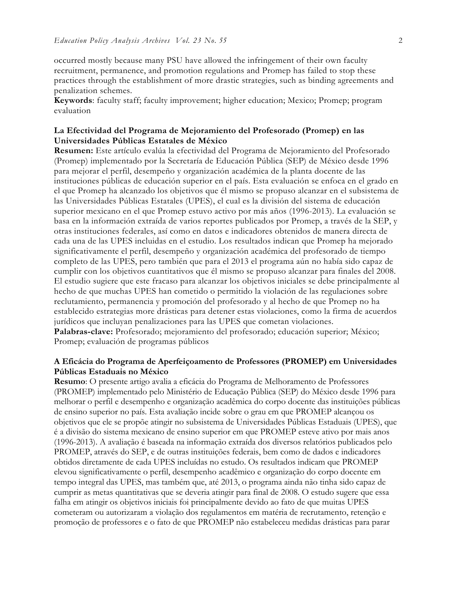occurred mostly because many PSU have allowed the infringement of their own faculty recruitment, permanence, and promotion regulations and Promep has failed to stop these practices through the establishment of more drastic strategies, such as binding agreements and penalization schemes.

**Keywords**: faculty staff; faculty improvement; higher education; Mexico; Promep; program evaluation

## **La Efectividad del Programa de Mejoramiento del Profesorado (Promep) en las Universidades Públicas Estatales de México**

**Resumen:** Este artículo evalúa la efectividad del Programa de Mejoramiento del Profesorado (Promep) implementado por la Secretaría de Educación Pública (SEP) de México desde 1996 para mejorar el perfil, desempeño y organización académica de la planta docente de las instituciones públicas de educación superior en el país. Esta evaluación se enfoca en el grado en el que Promep ha alcanzado los objetivos que él mismo se propuso alcanzar en el subsistema de las Universidades Públicas Estatales (UPES), el cual es la división del sistema de educación superior mexicano en el que Promep estuvo activo por más años (1996-2013). La evaluación se basa en la información extraída de varios reportes publicados por Promep, a través de la SEP, y otras instituciones federales, así como en datos e indicadores obtenidos de manera directa de cada una de las UPES incluidas en el estudio. Los resultados indican que Promep ha mejorado significativamente el perfil, desempeño y organización académica del profesorado de tiempo completo de las UPES, pero también que para el 2013 el programa aún no había sido capaz de cumplir con los objetivos cuantitativos que él mismo se propuso alcanzar para finales del 2008. El estudio sugiere que este fracaso para alcanzar los objetivos iniciales se debe principalmente al hecho de que muchas UPES han cometido o permitido la violación de las regulaciones sobre reclutamiento, permanencia y promoción del profesorado y al hecho de que Promep no ha establecido estrategias more drásticas para detener estas violaciones, como la firma de acuerdos jurídicos que incluyan penalizaciones para las UPES que cometan violaciones.

**Palabras-clave:** Profesorado; mejoramiento del profesorado; educación superior; México; Promep; evaluación de programas públicos

### **A Eficácia do Programa de Aperfeiçoamento de Professores (PROMEP) em Universidades Públicas Estaduais no México**

**Resumo**: O presente artigo avalia a eficácia do Programa de Melhoramento de Professores (PROMEP) implementado pelo Ministério de Educação Pública (SEP) do México desde 1996 para melhorar o perfil e desempenho e organização acadêmica do corpo docente das instituições públicas de ensino superior no país. Esta avaliação incide sobre o grau em que PROMEP alcançou os objetivos que ele se propõe atingir no subsistema de Universidades Públicas Estaduais (UPES), que é a divisão do sistema mexicano de ensino superior em que PROMEP esteve ativo por mais anos (1996-2013). A avaliação é baseada na informação extraída dos diversos relatórios publicados pelo PROMEP, através do SEP, e de outras instituições federais, bem como de dados e indicadores obtidos diretamente de cada UPES incluídas no estudo. Os resultados indicam que PROMEP elevou significativamente o perfil, desempenho acadêmico e organização do corpo docente em tempo integral das UPES, mas também que, até 2013, o programa ainda não tinha sido capaz de cumprir as metas quantitativas que se deveria atingir para final de 2008. O estudo sugere que essa falha em atingir os objetivos iniciais foi principalmente devido ao fato de que muitas UPES cometeram ou autorizaram a violação dos regulamentos em matéria de recrutamento, retenção e promoção de professores e o fato de que PROMEP não estabeleceu medidas drásticas para parar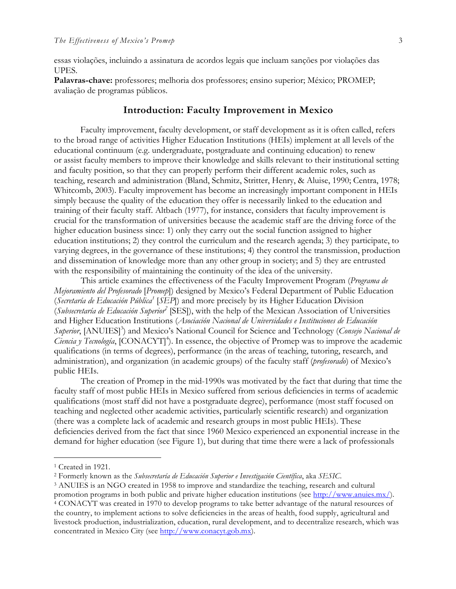essas violações, incluindo a assinatura de acordos legais que incluam sanções por violações das UPES.

**Palavras-chave:** professores; melhoria dos professores; ensino superior; México; PROMEP; avaliação de programas públicos.

## **Introduction: Faculty Improvement in Mexico**

Faculty improvement, faculty development, or staff development as it is often called, refers to the broad range of activities Higher Education Institutions (HEIs) implement at all levels of the educational continuum (e.g. undergraduate, postgraduate and continuing education) to renew or assist faculty members to improve their knowledge and skills relevant to their institutional setting and faculty position, so that they can properly perform their different academic roles, such as teaching, research and administration (Bland, Schmitz, Stritter, Henry, & Aluise, 1990; Centra, 1978; Whitcomb, 2003). Faculty improvement has become an increasingly important component in HEIs simply because the quality of the education they offer is necessarily linked to the education and training of their faculty staff. Altbach (1977), for instance, considers that faculty improvement is crucial for the transformation of universities because the academic staff are the driving force of the higher education business since: 1) only they carry out the social function assigned to higher education institutions; 2) they control the curriculum and the research agenda; 3) they participate, to varying degrees, in the governance of these institutions; 4) they control the transmission, production and dissemination of knowledge more than any other group in society; and 5) they are entrusted with the responsibility of maintaining the continuity of the idea of the university.

This article examines the effectiveness of the Faculty Improvement Program (*Programa de Mejoramiento del Profesorado* [*Promep*]) designed by Mexico's Federal Department of Public Education (*Secretaría de Educación Pública1* [*SEP*]) and more precisely by its Higher Education Division (*Subsecretaría de Educación Superior2* [SES]), with the help of the Mexican Association of Universities and Higher Education Institutions (*Asociación Nacional de Universidades e Instituciones de Educación*  Superior, [ANUIES]<sup>3</sup>) and Mexico's National Council for Science and Technology (Consejo Nacional de Ciencia y Tecnología, [CONACYT]<sup>4</sup>). In essence, the objective of Promep was to improve the academic qualifications (in terms of degrees), performance (in the areas of teaching, tutoring, research, and administration), and organization (in academic groups) of the faculty staff (*profesorado*) of Mexico's public HEIs.

The creation of Promep in the mid-1990s was motivated by the fact that during that time the faculty staff of most public HEIs in Mexico suffered from serious deficiencies in terms of academic qualifications (most staff did not have a postgraduate degree), performance (most staff focused on teaching and neglected other academic activities, particularly scientific research) and organization (there was a complete lack of academic and research groups in most public HEIs). These deficiencies derived from the fact that since 1960 Mexico experienced an exponential increase in the demand for higher education (see Figure 1), but during that time there were a lack of professionals

<sup>&</sup>lt;sup>1</sup> Created in 1921.

<sup>2</sup> Formerly known as the *Subsecretaría de Educación Superior e Investigación Científica*, aka *SESIC*.

<sup>3</sup> ANUIES is an NGO created in 1958 to improve and standardize the teaching, research and cultural promotion programs in both public and private higher education institutions (see http://www.anuies.mx/). <sup>4</sup> CONACYT was created in 1970 to develop programs to take better advantage of the natural resources of the country, to implement actions to solve deficiencies in the areas of health, food supply, agricultural and livestock production, industrialization, education, rural development, and to decentralize research, which was concentrated in Mexico City (see http://www.conacyt.gob.mx).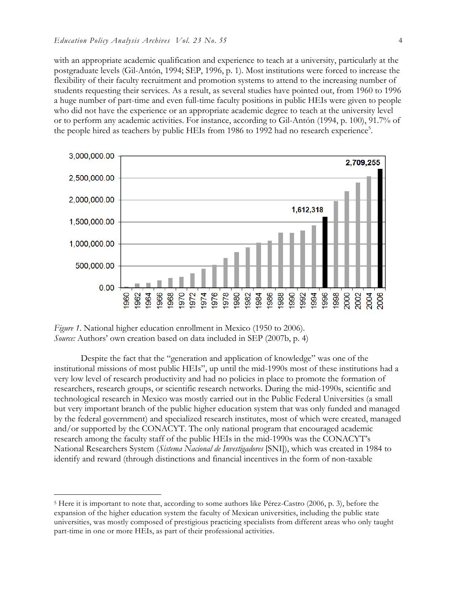with an appropriate academic qualification and experience to teach at a university, particularly at the postgraduate levels (Gil-Antón, 1994; SEP, 1996, p. 1). Most institutions were forced to increase the flexibility of their faculty recruitment and promotion systems to attend to the increasing number of students requesting their services. As a result, as several studies have pointed out, from 1960 to 1996 a huge number of part-time and even full-time faculty positions in public HEIs were given to people who did not have the experience or an appropriate academic degree to teach at the university level or to perform any academic activities. For instance, according to Gil-Antón (1994, p. 100), 91.7% of the people hired as teachers by public HEIs from 1986 to 1992 had no research experience<sup>5</sup>.





Despite the fact that the "generation and application of knowledge" was one of the institutional missions of most public HEIs", up until the mid-1990s most of these institutions had a very low level of research productivity and had no policies in place to promote the formation of researchers, research groups, or scientific research networks. During the mid-1990s, scientific and technological research in Mexico was mostly carried out in the Public Federal Universities (a small but very important branch of the public higher education system that was only funded and managed by the federal government) and specialized research institutes, most of which were created, managed and/or supported by the CONACYT. The only national program that encouraged academic research among the faculty staff of the public HEIs in the mid-1990s was the CONACYT's National Researchers System (*Sistema Nacional de Investigadores* [SNI]), which was created in 1984 to identify and reward (through distinctions and financial incentives in the form of non-taxable

 <sup>5</sup> Here it is important to note that, according to some authors like Pérez-Castro (2006, p. 3), before the expansion of the higher education system the faculty of Mexican universities, including the public state universities, was mostly composed of prestigious practicing specialists from different areas who only taught part-time in one or more HEIs, as part of their professional activities.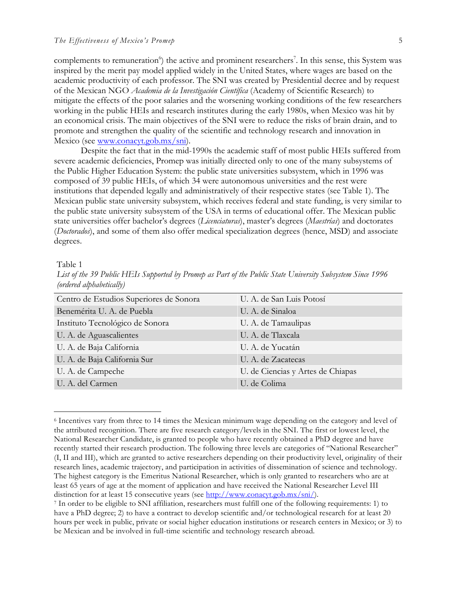complements to remuneration<sup>6</sup>) the active and prominent researchers<sup>7</sup>. In this sense, this System was inspired by the merit pay model applied widely in the United States, where wages are based on the academic productivity of each professor. The SNI was created by Presidential decree and by request of the Mexican NGO *Academia de la Investigación Científica* (Academy of Scientific Research) to mitigate the effects of the poor salaries and the worsening working conditions of the few researchers working in the public HEIs and research institutes during the early 1980s, when Mexico was hit by an economical crisis. The main objectives of the SNI were to reduce the risks of brain drain, and to promote and strengthen the quality of the scientific and technology research and innovation in Mexico (see www.conacyt.gob.mx/sni).

Despite the fact that in the mid-1990s the academic staff of most public HEIs suffered from severe academic deficiencies, Promep was initially directed only to one of the many subsystems of the Public Higher Education System: the public state universities subsystem, which in 1996 was composed of 39 public HEIs, of which 34 were autonomous universities and the rest were institutions that depended legally and administratively of their respective states (see Table 1). The Mexican public state university subsystem, which receives federal and state funding, is very similar to the public state university subsystem of the USA in terms of educational offer. The Mexican public state universities offer bachelor's degrees (*Licenciaturas*), master's degrees (*Maestrías*) and doctorates (*Doctorados*), and some of them also offer medical specialization degrees (hence, MSD) and associate degrees.

#### Table 1

| $(0)$ algorithm $(0)$                   |                                   |
|-----------------------------------------|-----------------------------------|
| Centro de Estudios Superiores de Sonora | U. A. de San Luis Potosí          |
| Benemérita U. A. de Puebla              | U. A. de Sinaloa                  |
| Instituto Tecnológico de Sonora         | U. A. de Tamaulipas               |
| U. A. de Aguascalientes                 | U. A. de Tlaxcala                 |
| U. A. de Baja California                | U. A. de Yucatán                  |
| U. A. de Baja California Sur            | U. A. de Zacatecas                |
| U. A. de Campeche                       | U. de Ciencias y Artes de Chiapas |
| U. A. del Carmen                        | U. de Colima                      |

*List of the 39 Public HEIs Supported by Promep as Part of the Public State University Subsystem Since 1996 (ordered alphabetically)*

 <sup>6</sup> Incentives vary from three to 14 times the Mexican minimum wage depending on the category and level of the attributed recognition. There are five research category/levels in the SNI. The first or lowest level, the National Researcher Candidate, is granted to people who have recently obtained a PhD degree and have recently started their research production. The following three levels are categories of "National Researcher" (I, II and III), which are granted to active researchers depending on their productivity level, originality of their research lines, academic trajectory, and participation in activities of dissemination of science and technology. The highest category is the Emeritus National Researcher, which is only granted to researchers who are at least 65 years of age at the moment of application and have received the National Researcher Level III distinction for at least 15 consecutive years (see http://www.conacyt.gob.mx/sni/).

<sup>7</sup> In order to be eligible to SNI affiliation, researchers must fulfill one of the following requirements: 1) to have a PhD degree; 2) to have a contract to develop scientific and/or technological research for at least 20 hours per week in public, private or social higher education institutions or research centers in Mexico; or 3) to be Mexican and be involved in full-time scientific and technology research abroad.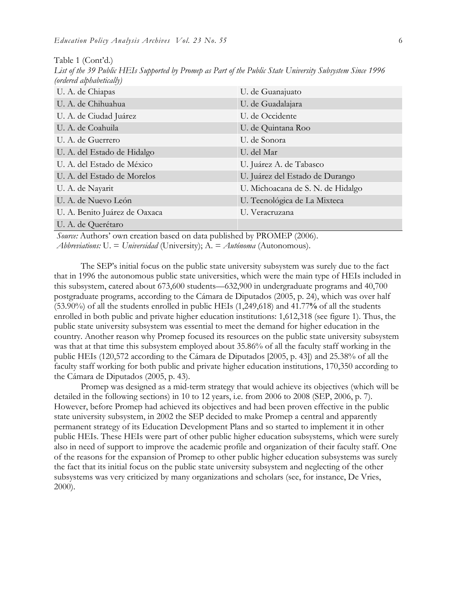| (ordered alphabetically)      |                                   |
|-------------------------------|-----------------------------------|
| U. A. de Chiapas              | U. de Guanajuato                  |
| U. A. de Chihuahua            | U. de Guadalajara                 |
| U. A. de Ciudad Juárez        | U. de Occidente                   |
| U. A. de Coahuila             | U. de Quintana Roo                |
| U. A. de Guerrero             | U. de Sonora                      |
| U. A. del Estado de Hidalgo   | U. del Mar                        |
| U. A. del Estado de México    | U. Juárez A. de Tabasco           |
| U. A. del Estado de Morelos   | U. Juárez del Estado de Durango   |
| U. A. de Nayarit              | U. Michoacana de S. N. de Hidalgo |
| U. A. de Nuevo León           | U. Tecnológica de La Mixteca      |
| U. A. Benito Juárez de Oaxaca | U. Veracruzana                    |
| U. A. de Querétaro            |                                   |

Table 1 (Cont'd.) *List of the 39 Public HEIs Supported by Promep as Part of the Public State University Subsystem Since 1996* 

*Source:* Authors' own creation based on data published by PROMEP (2006).

*Abbreviations:* U. = *Universidad* (University); A. = *Autónoma* (Autonomous).

The SEP's initial focus on the public state university subsystem was surely due to the fact that in 1996 the autonomous public state universities, which were the main type of HEIs included in this subsystem, catered about 673,600 students—632,900 in undergraduate programs and 40,700 postgraduate programs, according to the Cámara de Diputados (2005, p. 24), which was over half (53.90%) of all the students enrolled in public HEIs (1,249,618) and 41.77**%** of all the students enrolled in both public and private higher education institutions: 1,612,318 (see figure 1). Thus, the public state university subsystem was essential to meet the demand for higher education in the country. Another reason why Promep focused its resources on the public state university subsystem was that at that time this subsystem employed about 35.86% of all the faculty staff working in the public HEIs (120,572 according to the Cámara de Diputados [2005, p. 43]) and 25.38% of all the faculty staff working for both public and private higher education institutions, 170,350 according to the Cámara de Diputados (2005, p. 43).

Promep was designed as a mid-term strategy that would achieve its objectives (which will be detailed in the following sections) in 10 to 12 years, i.e. from 2006 to 2008 (SEP, 2006, p. 7). However, before Promep had achieved its objectives and had been proven effective in the public state university subsystem, in 2002 the SEP decided to make Promep a central and apparently permanent strategy of its Education Development Plans and so started to implement it in other public HEIs. These HEIs were part of other public higher education subsystems, which were surely also in need of support to improve the academic profile and organization of their faculty staff. One of the reasons for the expansion of Promep to other public higher education subsystems was surely the fact that its initial focus on the public state university subsystem and neglecting of the other subsystems was very criticized by many organizations and scholars (see, for instance, De Vries, 2000).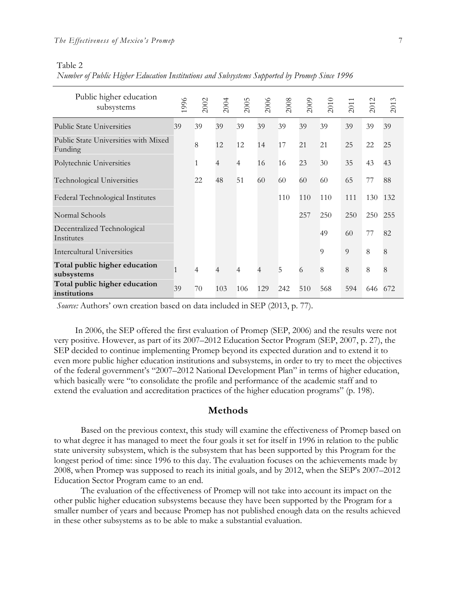#### Table 2

| Number of Public Higher Education Institutions and Subsystems Supported by Promep Since 1996 |
|----------------------------------------------------------------------------------------------|
|----------------------------------------------------------------------------------------------|

| Public higher education<br>subsystems           | 1996 | 2002           | 2004 | 2005           | 2006           | 2008 | 2009 | 2010     | 2011 | 2012 | 2013 |
|-------------------------------------------------|------|----------------|------|----------------|----------------|------|------|----------|------|------|------|
| <b>Public State Universities</b>                | 39   | 39             | 39   | 39             | 39             | 39   | 39   | 39       | 39   | 39   | 39   |
| Public State Universities with Mixed<br>Funding |      | 8              | 12   | 12             | 14             | 17   | 21   | 21       | 25   | 22   | 25   |
| Polytechnic Universities                        |      | $\mathbf{1}$   | 4    | $\overline{4}$ | 16             | 16   | 23   | 30       | 35   | 43   | 43   |
| Technological Universities                      |      | 22             | 48   | 51             | 60             | 60   | 60   | 60       | 65   | 77   | 88   |
| Federal Technological Institutes                |      |                |      |                |                | 110  | 110  | 110      | 111  | 130  | 132  |
| Normal Schools                                  |      |                |      |                |                |      | 257  | 250      | 250  | 250  | 255  |
| Decentralized Technological<br>Institutes       |      |                |      |                |                |      |      | 49       | 60   | 77   | 82   |
| <b>Intercultural Universities</b>               |      |                |      |                |                |      |      | $\Omega$ | 9    | 8    | 8    |
| Total public higher education<br>subsystems     | 1    | $\overline{4}$ | 4    | $\overline{4}$ | $\overline{4}$ | 5    | 6    | 8        | 8    | 8    | 8    |
| Total public higher education<br>institutions   | 39   | 70             | 103  | 106            | 129            | 242  | 510  | 568      | 594  | 646  | 672  |

*Source:* Authors' own creation based on data included in SEP (2013, p. 77).

In 2006, the SEP offered the first evaluation of Promep (SEP, 2006) and the results were not very positive. However, as part of its 2007–2012 Education Sector Program (SEP, 2007, p. 27), the SEP decided to continue implementing Promep beyond its expected duration and to extend it to even more public higher education institutions and subsystems, in order to try to meet the objectives of the federal government's "2007–2012 National Development Plan" in terms of higher education, which basically were "to consolidate the profile and performance of the academic staff and to extend the evaluation and accreditation practices of the higher education programs" (p. 198).

### **Methods**

Based on the previous context, this study will examine the effectiveness of Promep based on to what degree it has managed to meet the four goals it set for itself in 1996 in relation to the public state university subsystem, which is the subsystem that has been supported by this Program for the longest period of time: since 1996 to this day. The evaluation focuses on the achievements made by 2008, when Promep was supposed to reach its initial goals, and by 2012, when the SEP's 2007–2012 Education Sector Program came to an end.

The evaluation of the effectiveness of Promep will not take into account its impact on the other public higher education subsystems because they have been supported by the Program for a smaller number of years and because Promep has not published enough data on the results achieved in these other subsystems as to be able to make a substantial evaluation.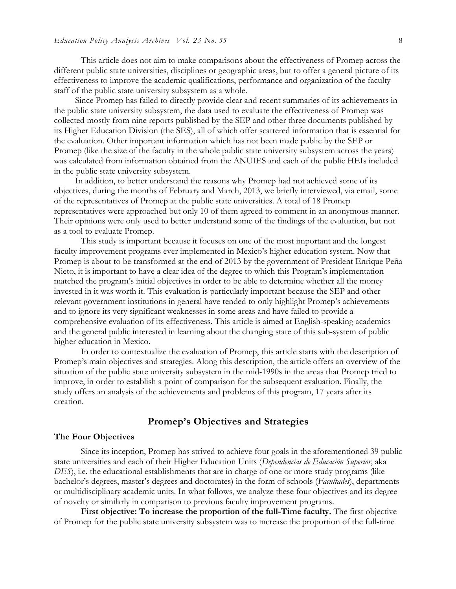This article does not aim to make comparisons about the effectiveness of Promep across the different public state universities, disciplines or geographic areas, but to offer a general picture of its effectiveness to improve the academic qualifications, performance and organization of the faculty staff of the public state university subsystem as a whole.

Since Promep has failed to directly provide clear and recent summaries of its achievements in the public state university subsystem, the data used to evaluate the effectiveness of Promep was collected mostly from nine reports published by the SEP and other three documents published by its Higher Education Division (the SES), all of which offer scattered information that is essential for the evaluation. Other important information which has not been made public by the SEP or Promep (like the size of the faculty in the whole public state university subsystem across the years) was calculated from information obtained from the ANUIES and each of the public HEIs included in the public state university subsystem.

In addition, to better understand the reasons why Promep had not achieved some of its objectives, during the months of February and March, 2013, we briefly interviewed, via email, some of the representatives of Promep at the public state universities. A total of 18 Promep representatives were approached but only 10 of them agreed to comment in an anonymous manner. Their opinions were only used to better understand some of the findings of the evaluation, but not as a tool to evaluate Promep.

This study is important because it focuses on one of the most important and the longest faculty improvement programs ever implemented in Mexico's higher education system. Now that Promep is about to be transformed at the end of 2013 by the government of President Enrique Peña Nieto, it is important to have a clear idea of the degree to which this Program's implementation matched the program's initial objectives in order to be able to determine whether all the money invested in it was worth it. This evaluation is particularly important because the SEP and other relevant government institutions in general have tended to only highlight Promep's achievements and to ignore its very significant weaknesses in some areas and have failed to provide a comprehensive evaluation of its effectiveness. This article is aimed at English-speaking academics and the general public interested in learning about the changing state of this sub-system of public higher education in Mexico.

In order to contextualize the evaluation of Promep, this article starts with the description of Promep's main objectives and strategies. Along this description, the article offers an overview of the situation of the public state university subsystem in the mid-1990s in the areas that Promep tried to improve, in order to establish a point of comparison for the subsequent evaluation. Finally, the study offers an analysis of the achievements and problems of this program, 17 years after its creation.

## **Promep's Objectives and Strategies**

#### **The Four Objectives**

Since its inception, Promep has strived to achieve four goals in the aforementioned 39 public state universities and each of their Higher Education Units (*Dependencias de Educación Superior*, aka *DES*), i.e. the educational establishments that are in charge of one or more study programs (like bachelor's degrees, master's degrees and doctorates) in the form of schools (*Facultades*), departments or multidisciplinary academic units. In what follows, we analyze these four objectives and its degree of novelty or similarly in comparison to previous faculty improvement programs.

**First objective: To increase the proportion of the full-Time faculty.** The first objective of Promep for the public state university subsystem was to increase the proportion of the full-time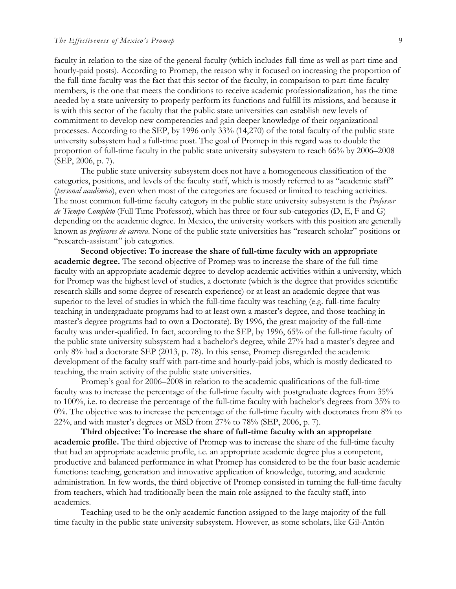faculty in relation to the size of the general faculty (which includes full-time as well as part-time and hourly-paid posts). According to Promep, the reason why it focused on increasing the proportion of the full-time faculty was the fact that this sector of the faculty, in comparison to part-time faculty members, is the one that meets the conditions to receive academic professionalization, has the time needed by a state university to properly perform its functions and fulfill its missions, and because it is with this sector of the faculty that the public state universities can establish new levels of commitment to develop new competencies and gain deeper knowledge of their organizational processes. According to the SEP, by 1996 only 33% (14,270) of the total faculty of the public state university subsystem had a full-time post. The goal of Promep in this regard was to double the proportion of full-time faculty in the public state university subsystem to reach 66% by 2006–2008 (SEP, 2006, p. 7).

The public state university subsystem does not have a homogeneous classification of the categories, positions, and levels of the faculty staff, which is mostly referred to as "academic staff" (*personal académico*), even when most of the categories are focused or limited to teaching activities. The most common full-time faculty category in the public state university subsystem is the *Professor de Tiempo Completo* (Full Time Professor), which has three or four sub-categories (D, E, F and G) depending on the academic degree. In Mexico, the university workers with this position are generally known as *profesores de carrera*. None of the public state universities has "research scholar" positions or "research-assistant" job categories.

**Second objective: To increase the share of full-time faculty with an appropriate academic degree.** The second objective of Promep was to increase the share of the full-time faculty with an appropriate academic degree to develop academic activities within a university, which for Promep was the highest level of studies, a doctorate (which is the degree that provides scientific research skills and some degree of research experience) or at least an academic degree that was superior to the level of studies in which the full-time faculty was teaching (e.g. full-time faculty teaching in undergraduate programs had to at least own a master's degree, and those teaching in master's degree programs had to own a Doctorate). By 1996, the great majority of the full-time faculty was under-qualified. In fact, according to the SEP, by 1996, 65% of the full-time faculty of the public state university subsystem had a bachelor's degree, while 27% had a master's degree and only 8% had a doctorate SEP (2013, p. 78). In this sense, Promep disregarded the academic development of the faculty staff with part-time and hourly-paid jobs, which is mostly dedicated to teaching, the main activity of the public state universities.

Promep's goal for 2006–2008 in relation to the academic qualifications of the full-time faculty was to increase the percentage of the full-time faculty with postgraduate degrees from 35% to 100%, i.e. to decrease the percentage of the full-time faculty with bachelor's degrees from 35% to 0%. The objective was to increase the percentage of the full-time faculty with doctorates from 8% to 22%, and with master's degrees or MSD from 27% to 78% (SEP, 2006, p. 7).

**Third objective: To increase the share of full-time faculty with an appropriate academic profile.** The third objective of Promep was to increase the share of the full-time faculty that had an appropriate academic profile, i.e. an appropriate academic degree plus a competent, productive and balanced performance in what Promep has considered to be the four basic academic functions: teaching, generation and innovative application of knowledge, tutoring, and academic administration. In few words, the third objective of Promep consisted in turning the full-time faculty from teachers, which had traditionally been the main role assigned to the faculty staff, into academics.

Teaching used to be the only academic function assigned to the large majority of the fulltime faculty in the public state university subsystem. However, as some scholars, like Gil-Antón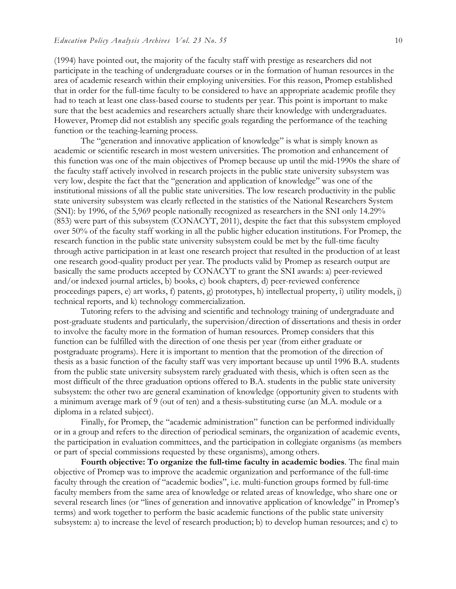(1994) have pointed out, the majority of the faculty staff with prestige as researchers did not participate in the teaching of undergraduate courses or in the formation of human resources in the area of academic research within their employing universities. For this reason, Promep established that in order for the full-time faculty to be considered to have an appropriate academic profile they had to teach at least one class-based course to students per year. This point is important to make sure that the best academics and researchers actually share their knowledge with undergraduates. However, Promep did not establish any specific goals regarding the performance of the teaching function or the teaching-learning process.

The "generation and innovative application of knowledge" is what is simply known as academic or scientific research in most western universities. The promotion and enhancement of this function was one of the main objectives of Promep because up until the mid-1990s the share of the faculty staff actively involved in research projects in the public state university subsystem was very low, despite the fact that the "generation and application of knowledge" was one of the institutional missions of all the public state universities. The low research productivity in the public state university subsystem was clearly reflected in the statistics of the National Researchers System (SNI): by 1996, of the 5,969 people nationally recognized as researchers in the SNI only 14.29% (853) were part of this subsystem (CONACYT, 2011), despite the fact that this subsystem employed over 50% of the faculty staff working in all the public higher education institutions. For Promep, the research function in the public state university subsystem could be met by the full-time faculty through active participation in at least one research project that resulted in the production of at least one research good-quality product per year. The products valid by Promep as research output are basically the same products accepted by CONACYT to grant the SNI awards: a) peer-reviewed and/or indexed journal articles, b) books, c) book chapters, d) peer-reviewed conference proceedings papers, e) art works, f) patents, g) prototypes, h) intellectual property, i) utility models, j) technical reports, and k) technology commercialization.

Tutoring refers to the advising and scientific and technology training of undergraduate and post-graduate students and particularly, the supervision/direction of dissertations and thesis in order to involve the faculty more in the formation of human resources. Promep considers that this function can be fulfilled with the direction of one thesis per year (from either graduate or postgraduate programs). Here it is important to mention that the promotion of the direction of thesis as a basic function of the faculty staff was very important because up until 1996 B.A. students from the public state university subsystem rarely graduated with thesis, which is often seen as the most difficult of the three graduation options offered to B.A. students in the public state university subsystem: the other two are general examination of knowledge (opportunity given to students with a minimum average mark of 9 (out of ten) and a thesis-substituting curse (an M.A. module or a diploma in a related subject).

Finally, for Promep, the "academic administration" function can be performed individually or in a group and refers to the direction of periodical seminars, the organization of academic events, the participation in evaluation committees, and the participation in collegiate organisms (as members or part of special commissions requested by these organisms), among others.

**Fourth objective: To organize the full-time faculty in academic bodies**. The final main objective of Promep was to improve the academic organization and performance of the full-time faculty through the creation of "academic bodies", i.e. multi-function groups formed by full-time faculty members from the same area of knowledge or related areas of knowledge, who share one or several research lines (or "lines of generation and innovative application of knowledge" in Promep's terms) and work together to perform the basic academic functions of the public state university subsystem: a) to increase the level of research production; b) to develop human resources; and c) to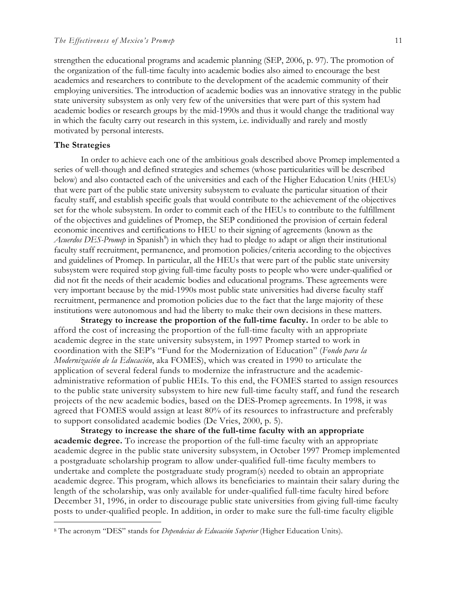strengthen the educational programs and academic planning (SEP, 2006, p. 97). The promotion of the organization of the full-time faculty into academic bodies also aimed to encourage the best academics and researchers to contribute to the development of the academic community of their employing universities. The introduction of academic bodies was an innovative strategy in the public state university subsystem as only very few of the universities that were part of this system had academic bodies or research groups by the mid-1990s and thus it would change the traditional way in which the faculty carry out research in this system, i.e. individually and rarely and mostly motivated by personal interests.

#### **The Strategies**

In order to achieve each one of the ambitious goals described above Promep implemented a series of well-though and defined strategies and schemes (whose particularities will be described below) and also contacted each of the universities and each of the Higher Education Units (HEUs) that were part of the public state university subsystem to evaluate the particular situation of their faculty staff, and establish specific goals that would contribute to the achievement of the objectives set for the whole subsystem. In order to commit each of the HEUs to contribute to the fulfillment of the objectives and guidelines of Promep, the SEP conditioned the provision of certain federal economic incentives and certifications to HEU to their signing of agreements (known as the Acuerdos DES-Promep in Spanish<sup>8</sup>) in which they had to pledge to adapt or align their institutional faculty staff recruitment, permanence, and promotion policies/criteria according to the objectives and guidelines of Promep. In particular, all the HEUs that were part of the public state university subsystem were required stop giving full-time faculty posts to people who were under-qualified or did not fit the needs of their academic bodies and educational programs. These agreements were very important because by the mid-1990s most public state universities had diverse faculty staff recruitment, permanence and promotion policies due to the fact that the large majority of these institutions were autonomous and had the liberty to make their own decisions in these matters.

**Strategy to increase the proportion of the full-time faculty.** In order to be able to afford the cost of increasing the proportion of the full-time faculty with an appropriate academic degree in the state university subsystem, in 1997 Promep started to work in coordination with the SEP's "Fund for the Modernization of Education" (*Fondo para la Modernización de la Educación*, aka FOMES), which was created in 1990 to articulate the application of several federal funds to modernize the infrastructure and the academicadministrative reformation of public HEIs. To this end, the FOMES started to assign resources to the public state university subsystem to hire new full-time faculty staff, and fund the research projects of the new academic bodies, based on the DES-Promep agreements. In 1998, it was agreed that FOMES would assign at least 80% of its resources to infrastructure and preferably to support consolidated academic bodies (De Vries, 2000, p. 5).

**Strategy to increase the share of the full-time faculty with an appropriate academic degree.** To increase the proportion of the full-time faculty with an appropriate academic degree in the public state university subsystem, in October 1997 Promep implemented a postgraduate scholarship program to allow under-qualified full-time faculty members to undertake and complete the postgraduate study program(s) needed to obtain an appropriate academic degree. This program, which allows its beneficiaries to maintain their salary during the length of the scholarship, was only available for under-qualified full-time faculty hired before December 31, 1996, in order to discourage public state universities from giving full-time faculty posts to under-qualified people. In addition, in order to make sure the full-time faculty eligible

 <sup>8</sup> The acronym "DES" stands for *Dependecias de Educación Superior* (Higher Education Units).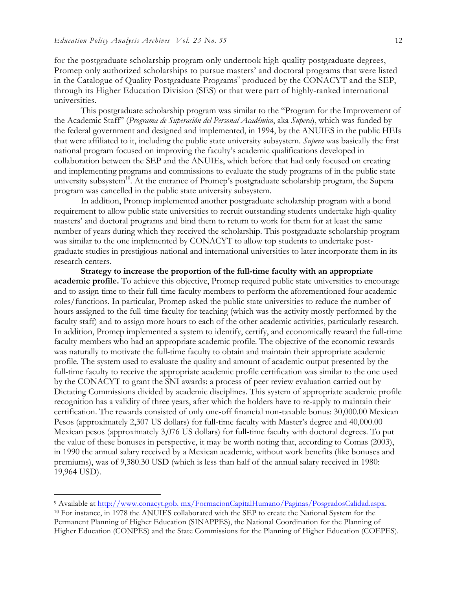for the postgraduate scholarship program only undertook high-quality postgraduate degrees, Promep only authorized scholarships to pursue masters' and doctoral programs that were listed in the Catalogue of Quality Postgraduate Programs<sup>9</sup> produced by the CONACYT and the SEP, through its Higher Education Division (SES) or that were part of highly-ranked international universities.

This postgraduate scholarship program was similar to the "Program for the Improvement of the Academic Staff" (*Programa de Superación del Personal Académico*, aka *Supera*), which was funded by the federal government and designed and implemented, in 1994, by the ANUIES in the public HEIs that were affiliated to it, including the public state university subsystem. *Supera* was basically the first national program focused on improving the faculty's academic qualifications developed in collaboration between the SEP and the ANUIEs, which before that had only focused on creating and implementing programs and commissions to evaluate the study programs of in the public state university subsystem<sup>10</sup>. At the entrance of Promep's postgraduate scholarship program, the Supera program was cancelled in the public state university subsystem.

In addition, Promep implemented another postgraduate scholarship program with a bond requirement to allow public state universities to recruit outstanding students undertake high-quality masters' and doctoral programs and bind them to return to work for them for at least the same number of years during which they received the scholarship. This postgraduate scholarship program was similar to the one implemented by CONACYT to allow top students to undertake postgraduate studies in prestigious national and international universities to later incorporate them in its research centers.

**Strategy to increase the proportion of the full-time faculty with an appropriate academic profile.** To achieve this objective, Promep required public state universities to encourage and to assign time to their full-time faculty members to perform the aforementioned four academic roles/functions. In particular, Promep asked the public state universities to reduce the number of hours assigned to the full-time faculty for teaching (which was the activity mostly performed by the faculty staff) and to assign more hours to each of the other academic activities, particularly research. In addition, Promep implemented a system to identify, certify, and economically reward the full-time faculty members who had an appropriate academic profile. The objective of the economic rewards was naturally to motivate the full-time faculty to obtain and maintain their appropriate academic profile. The system used to evaluate the quality and amount of academic output presented by the full-time faculty to receive the appropriate academic profile certification was similar to the one used by the CONACYT to grant the SNI awards: a process of peer review evaluation carried out by Dictating Commissions divided by academic disciplines. This system of appropriate academic profile recognition has a validity of three years, after which the holders have to re-apply to maintain their certification. The rewards consisted of only one-off financial non-taxable bonus: 30,000.00 Mexican Pesos (approximately 2,307 US dollars) for full-time faculty with Master's degree and 40,000.00 Mexican pesos (approximately 3,076 US dollars) for full-time faculty with doctoral degrees. To put the value of these bonuses in perspective, it may be worth noting that, according to Comas (2003), in 1990 the annual salary received by a Mexican academic, without work benefits (like bonuses and premiums), was of 9,380.30 USD (which is less than half of the annual salary received in 1980: 19,964 USD).

 <sup>9</sup> Available at http://www.conacyt.gob. mx/FormacionCapitalHumano/Paginas/PosgradosCalidad.aspx.

<sup>10</sup> For instance, in 1978 the ANUIES collaborated with the SEP to create the National System for the Permanent Planning of Higher Education (SINAPPES), the National Coordination for the Planning of Higher Education (CONPES) and the State Commissions for the Planning of Higher Education (COEPES).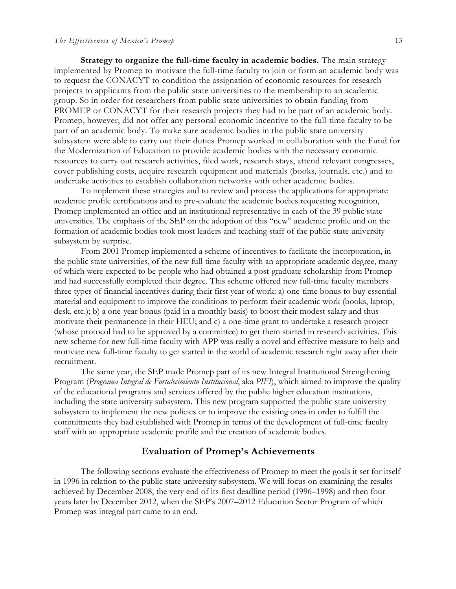**Strategy to organize the full-time faculty in academic bodies.** The main strategy implemented by Promep to motivate the full-time faculty to join or form an academic body was to request the CONACYT to condition the assignation of economic resources for research projects to applicants from the public state universities to the membership to an academic group. So in order for researchers from public state universities to obtain funding from PROMEP or CONACYT for their research projects they had to be part of an academic body. Promep, however, did not offer any personal economic incentive to the full-time faculty to be part of an academic body. To make sure academic bodies in the public state university subsystem were able to carry out their duties Promep worked in collaboration with the Fund for the Modernization of Education to provide academic bodies with the necessary economic resources to carry out research activities, filed work, research stays, attend relevant congresses, cover publishing costs, acquire research equipment and materials (books, journals, etc.) and to undertake activities to establish collaboration networks with other academic bodies.

To implement these strategies and to review and process the applications for appropriate academic profile certifications and to pre-evaluate the academic bodies requesting recognition, Promep implemented an office and an institutional representative in each of the 39 public state universities. The emphasis of the SEP on the adoption of this "new" academic profile and on the formation of academic bodies took most leaders and teaching staff of the public state university subsystem by surprise.

From 2001 Promep implemented a scheme of incentives to facilitate the incorporation, in the public state universities, of the new full-time faculty with an appropriate academic degree, many of which were expected to be people who had obtained a post-graduate scholarship from Promep and had successfully completed their degree. This scheme offered new full-time faculty members three types of financial incentives during their first year of work: a) one-time bonus to buy essential material and equipment to improve the conditions to perform their academic work (books, laptop, desk, etc.); b) a one-year bonus (paid in a monthly basis) to boost their modest salary and thus motivate their permanence in their HEU; and c) a one-time grant to undertake a research project (whose protocol had to be approved by a committee) to get them started in research activities. This new scheme for new full-time faculty with APP was really a novel and effective measure to help and motivate new full-time faculty to get started in the world of academic research right away after their recruitment.

The same year, the SEP made Promep part of its new Integral Institutional Strengthening Program (*Programa Integral de Fortalecimiento Institucional*, aka *PIFI*), which aimed to improve the quality of the educational programs and services offered by the public higher education institutions, including the state university subsystem. This new program supported the public state university subsystem to implement the new policies or to improve the existing ones in order to fulfill the commitments they had established with Promep in terms of the development of full-time faculty staff with an appropriate academic profile and the creation of academic bodies.

### **Evaluation of Promep's Achievements**

The following sections evaluate the effectiveness of Promep to meet the goals it set for itself in 1996 in relation to the public state university subsystem. We will focus on examining the results achieved by December 2008, the very end of its first deadline period (1996–1998) and then four years later by December 2012, when the SEP's 2007–2012 Education Sector Program of which Promep was integral part came to an end.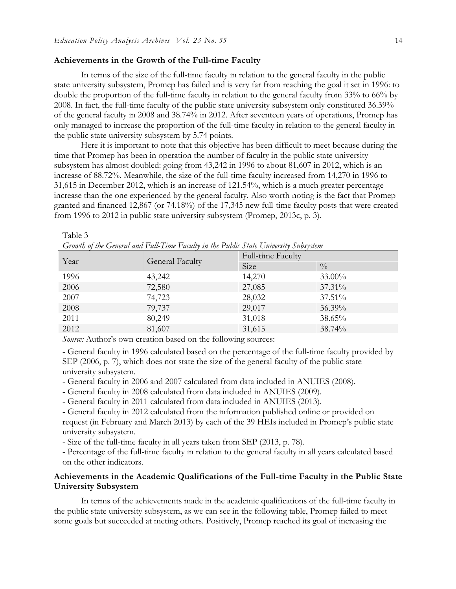#### **Achievements in the Growth of the Full-time Faculty**

In terms of the size of the full-time faculty in relation to the general faculty in the public state university subsystem, Promep has failed and is very far from reaching the goal it set in 1996: to double the proportion of the full-time faculty in relation to the general faculty from 33% to 66% by 2008. In fact, the full-time faculty of the public state university subsystem only constituted 36.39% of the general faculty in 2008 and 38.74% in 2012. After seventeen years of operations, Promep has only managed to increase the proportion of the full-time faculty in relation to the general faculty in the public state university subsystem by 5.74 points.

Here it is important to note that this objective has been difficult to meet because during the time that Promep has been in operation the number of faculty in the public state university subsystem has almost doubled: going from 43,242 in 1996 to about 81,607 in 2012, which is an increase of 88.72%. Meanwhile, the size of the full-time faculty increased from 14,270 in 1996 to 31,615 in December 2012, which is an increase of 121.54%, which is a much greater percentage increase than the one experienced by the general faculty. Also worth noting is the fact that Promep granted and financed 12,867 (or 74.18%) of the 17,345 new full-time faculty posts that were created from 1996 to 2012 in public state university subsystem (Promep, 2013c, p. 3).

| Growth of the General and Full-I ime Faculty in the Public State University Subsystem |                        |                   |               |  |  |  |
|---------------------------------------------------------------------------------------|------------------------|-------------------|---------------|--|--|--|
| Year                                                                                  | <b>General Faculty</b> | Full-time Faculty |               |  |  |  |
|                                                                                       |                        | Size              | $\frac{0}{0}$ |  |  |  |
| 1996                                                                                  | 43,242                 | 14,270            | 33.00%        |  |  |  |
| 2006                                                                                  | 72,580                 | 27,085            | 37.31%        |  |  |  |
| 2007                                                                                  | 74,723                 | 28,032            | 37.51%        |  |  |  |
| 2008                                                                                  | 79,737                 | 29,017            | 36.39%        |  |  |  |
| 2011                                                                                  | 80,249                 | 31,018            | 38.65%        |  |  |  |
| 2012                                                                                  | 81,607                 | 31,615            | 38.74%        |  |  |  |

Table 3

*Growth of the General and Full-Time Faculty in the Public State University Subsystem*

*Source:* Author's own creation based on the following sources:

- General faculty in 1996 calculated based on the percentage of the full-time faculty provided by SEP (2006, p. 7), which does not state the size of the general faculty of the public state university subsystem.

- General faculty in 2006 and 2007 calculated from data included in ANUIES (2008).

- General faculty in 2008 calculated from data included in ANUIES (2009).

- General faculty in 2011 calculated from data included in ANUIES (2013).

- General faculty in 2012 calculated from the information published online or provided on request (in February and March 2013) by each of the 39 HEIs included in Promep's public state university subsystem.

- Size of the full-time faculty in all years taken from SEP (2013, p. 78).

- Percentage of the full-time faculty in relation to the general faculty in all years calculated based on the other indicators.

### **Achievements in the Academic Qualifications of the Full-time Faculty in the Public State University Subsystem**

In terms of the achievements made in the academic qualifications of the full-time faculty in the public state university subsystem, as we can see in the following table, Promep failed to meet some goals but succeeded at meting others. Positively, Promep reached its goal of increasing the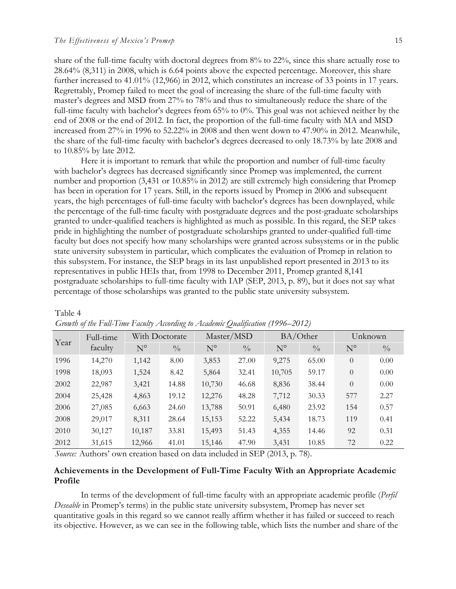share of the full-time faculty with doctoral degrees from 8% to 22%, since this share actually rose to 28.64% (8,311) in 2008, which is 6.64 points above the expected percentage. Moreover, this share further increased to 41.01% (12,966) in 2012, which constitutes an increase of 33 points in 17 years. Regrettably, Promep failed to meet the goal of increasing the share of the full-time faculty with master's degrees and MSD from 27% to 78% and thus to simultaneously reduce the share of the full-time faculty with bachelor's degrees from 65% to 0%. This goal was not achieved neither by the end of 2008 or the end of 2012. In fact, the proportion of the full-time faculty with MA and MSD increased from 27% in 1996 to 52.22% in 2008 and then went down to 47.90% in 2012. Meanwhile, the share of the full-time faculty with bachelor's degrees decreased to only 18.73% by late 2008 and to 10.85% by late 2012.

Here it is important to remark that while the proportion and number of full-time faculty with bachelor's degrees has decreased significantly since Promep was implemented, the current number and proportion (3,431 or 10.85% in 2012) are still extremely high considering that Promep has been in operation for 17 years. Still, in the reports issued by Promep in 2006 and subsequent years, the high percentages of full-time faculty with bachelor's degrees has been downplayed, while the percentage of the full-time faculty with postgraduate degrees and the post-graduate scholarships granted to under-qualified teachers is highlighted as much as possible. In this regard, the SEP takes pride in highlighting the number of postgraduate scholarships granted to under-qualified full-time faculty but does not specify how many scholarships were granted across subsystems or in the public state university subsystem in particular, which complicates the evaluation of Promep in relation to this subsystem. For instance, the SEP brags in its last unpublished report presented in 2013 to its representatives in public HEIs that, from 1998 to December 2011, Promep granted 8,141 postgraduate scholarships to full-time faculty with IAP (SEP, 2013, p. 89), but it does not say what percentage of those scholarships was granted to the public state university subsystem.

|      | Full-time |             | With Doctorate | Master/MSD  |               | BA/Other    |               | Unknown     |               |
|------|-----------|-------------|----------------|-------------|---------------|-------------|---------------|-------------|---------------|
| Year | faculty   | $N^{\circ}$ | $\frac{0}{0}$  | $N^{\circ}$ | $\frac{0}{0}$ | $N^{\circ}$ | $\frac{0}{0}$ | $N^{\circ}$ | $\frac{0}{0}$ |
| 1996 | 14,270    | 1,142       | 8.00           | 3,853       | 27.00         | 9,275       | 65.00         | $\theta$    | 0.00          |
| 1998 | 18,093    | 1,524       | 8.42           | 5,864       | 32.41         | 10,705      | 59.17         | $\theta$    | 0.00          |
| 2002 | 22,987    | 3,421       | 14.88          | 10,730      | 46.68         | 8,836       | 38.44         | $\theta$    | 0.00          |
| 2004 | 25,428    | 4,863       | 19.12          | 12,276      | 48.28         | 7,712       | 30.33         | 577         | 2.27          |
| 2006 | 27,085    | 6,663       | 24.60          | 13,788      | 50.91         | 6,480       | 23.92         | 154         | 0.57          |
| 2008 | 29,017    | 8,311       | 28.64          | 15,153      | 52.22         | 5,434       | 18.73         | 119         | 0.41          |
| 2010 | 30,127    | 10,187      | 33.81          | 15,493      | 51.43         | 4,355       | 14.46         | 92          | 0.31          |
| 2012 | 31,615    | 12,966      | 41.01          | 15,146      | 47.90         | 3,431       | 10.85         | 72          | 0.22          |

| Table 4                                                                         |  |  |  |
|---------------------------------------------------------------------------------|--|--|--|
| Growth of the Full-Time Faculty According to Academic Qualification (1996–2012) |  |  |  |

*Source:* Authors' own creation based on data included in SEP (2013, p. 78).

### **Achievements in the Development of Full-Time Faculty With an Appropriate Academic Profile**

In terms of the development of full-time faculty with an appropriate academic profile (*Perfil Deseable* in Promep's terms) in the public state university subsystem, Promep has never set quantitative goals in this regard so we cannot really affirm whether it has failed or succeed to reach its objective. However, as we can see in the following table, which lists the number and share of the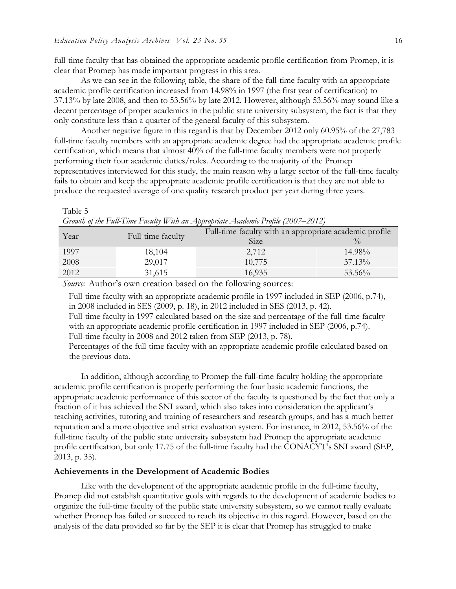full-time faculty that has obtained the appropriate academic profile certification from Promep, it is clear that Promep has made important progress in this area.

As we can see in the following table, the share of the full-time faculty with an appropriate academic profile certification increased from 14.98% in 1997 (the first year of certification) to 37.13% by late 2008, and then to 53.56% by late 2012. However, although 53.56% may sound like a decent percentage of proper academics in the public state university subsystem, the fact is that they only constitute less than a quarter of the general faculty of this subsystem.

Another negative figure in this regard is that by December 2012 only 60.95% of the 27,783 full-time faculty members with an appropriate academic degree had the appropriate academic profile certification, which means that almost 40% of the full-time faculty members were not properly performing their four academic duties/roles. According to the majority of the Promep representatives interviewed for this study, the main reason why a large sector of the full-time faculty fails to obtain and keep the appropriate academic profile certification is that they are not able to produce the requested average of one quality research product per year during three years.

#### Table 5

| Growth of the Full-Time Faculty With an Appropriate Academic Profile (2007–2012) |  |  |
|----------------------------------------------------------------------------------|--|--|
|                                                                                  |  |  |

| Year | Full-time faculty | Full-time faculty with an appropriate academic profile |             |  |
|------|-------------------|--------------------------------------------------------|-------------|--|
|      |                   | Size                                                   | $^{0}/_{0}$ |  |
| 1997 | 18,104            | 2,712                                                  | 14.98%      |  |
| 2008 | 29,017            | 10,775                                                 | 37.13%      |  |
| 2012 | 31,615            | 16,935                                                 | 53.56%      |  |

*Source:* Author's own creation based on the following sources:

- Full-time faculty with an appropriate academic profile in 1997 included in SEP (2006, p.74), in 2008 included in SES (2009, p. 18), in 2012 included in SES (2013, p. 42).

- Full-time faculty in 1997 calculated based on the size and percentage of the full-time faculty with an appropriate academic profile certification in 1997 included in SEP (2006, p.74).

- Full-time faculty in 2008 and 2012 taken from SEP (2013, p. 78).

- Percentages of the full-time faculty with an appropriate academic profile calculated based on the previous data.

In addition, although according to Promep the full-time faculty holding the appropriate academic profile certification is properly performing the four basic academic functions, the appropriate academic performance of this sector of the faculty is questioned by the fact that only a fraction of it has achieved the SNI award, which also takes into consideration the applicant's teaching activities, tutoring and training of researchers and research groups, and has a much better reputation and a more objective and strict evaluation system. For instance, in 2012, 53.56% of the full-time faculty of the public state university subsystem had Promep the appropriate academic profile certification, but only 17.75 of the full-time faculty had the CONACYT's SNI award (SEP, 2013, p. 35).

#### **Achievements in the Development of Academic Bodies**

Like with the development of the appropriate academic profile in the full-time faculty, Promep did not establish quantitative goals with regards to the development of academic bodies to organize the full-time faculty of the public state university subsystem, so we cannot really evaluate whether Promep has failed or succeed to reach its objective in this regard. However, based on the analysis of the data provided so far by the SEP it is clear that Promep has struggled to make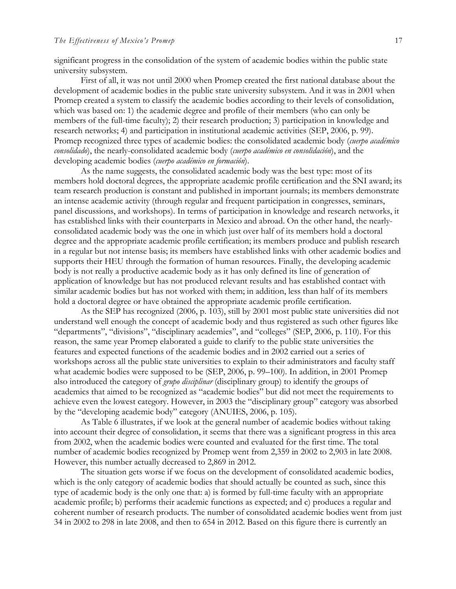significant progress in the consolidation of the system of academic bodies within the public state university subsystem.

First of all, it was not until 2000 when Promep created the first national database about the development of academic bodies in the public state university subsystem. And it was in 2001 when Promep created a system to classify the academic bodies according to their levels of consolidation, which was based on: 1) the academic degree and profile of their members (who can only be members of the full-time faculty); 2) their research production; 3) participation in knowledge and research networks; 4) and participation in institutional academic activities (SEP, 2006, p. 99). Promep recognized three types of academic bodies: the consolidated academic body (*cuerpo académico consolidado*), the nearly-consolidated academic body (*cuerpo académico en consolidación*), and the developing academic bodies (*cuerpo académico en formación*).

As the name suggests, the consolidated academic body was the best type: most of its members hold doctoral degrees, the appropriate academic profile certification and the SNI award; its team research production is constant and published in important journals; its members demonstrate an intense academic activity (through regular and frequent participation in congresses, seminars, panel discussions, and workshops). In terms of participation in knowledge and research networks, it has established links with their counterparts in Mexico and abroad. On the other hand, the nearlyconsolidated academic body was the one in which just over half of its members hold a doctoral degree and the appropriate academic profile certification; its members produce and publish research in a regular but not intense basis; its members have established links with other academic bodies and supports their HEU through the formation of human resources. Finally, the developing academic body is not really a productive academic body as it has only defined its line of generation of application of knowledge but has not produced relevant results and has established contact with similar academic bodies but has not worked with them; in addition, less than half of its members hold a doctoral degree or have obtained the appropriate academic profile certification.

As the SEP has recognized (2006, p. 103), still by 2001 most public state universities did not understand well enough the concept of academic body and thus registered as such other figures like "departments", "divisions", "disciplinary academies", and "colleges" (SEP, 2006, p. 110). For this reason, the same year Promep elaborated a guide to clarify to the public state universities the features and expected functions of the academic bodies and in 2002 carried out a series of workshops across all the public state universities to explain to their administrators and faculty staff what academic bodies were supposed to be (SEP, 2006, p. 99–100). In addition, in 2001 Promep also introduced the category of *grupo disciplinar* (disciplinary group) to identify the groups of academics that aimed to be recognized as "academic bodies" but did not meet the requirements to achieve even the lowest category. However, in 2003 the "disciplinary group" category was absorbed by the "developing academic body" category (ANUIES, 2006, p. 105).

As Table 6 illustrates, if we look at the general number of academic bodies without taking into account their degree of consolidation, it seems that there was a significant progress in this area from 2002, when the academic bodies were counted and evaluated for the first time. The total number of academic bodies recognized by Promep went from 2,359 in 2002 to 2,903 in late 2008. However, this number actually decreased to 2,869 in 2012.

The situation gets worse if we focus on the development of consolidated academic bodies, which is the only category of academic bodies that should actually be counted as such, since this type of academic body is the only one that: a) is formed by full-time faculty with an appropriate academic profile; b) performs their academic functions as expected; and c) produces a regular and coherent number of research products. The number of consolidated academic bodies went from just 34 in 2002 to 298 in late 2008, and then to 654 in 2012. Based on this figure there is currently an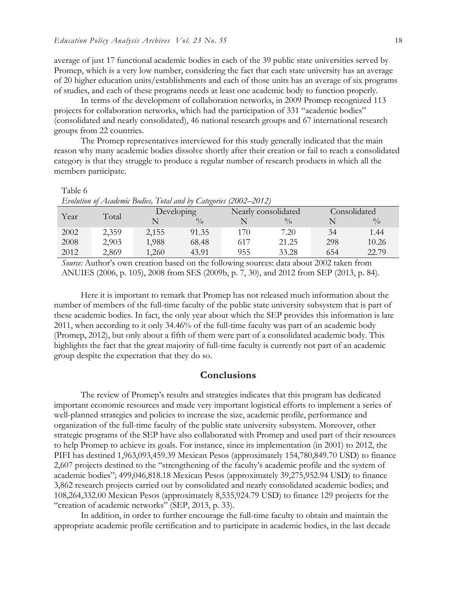average of just 17 functional academic bodies in each of the 39 public state universities served by Promep, which is a very low number, considering the fact that each state university has an average of 20 higher education units/establishments and each of those units has an average of six programs of studies, and each of these programs needs at least one academic body to function properly.

In terms of the development of collaboration networks, in 2009 Promep recognized 113 projects for collaboration networks, which had the participation of 331 "academic bodies" (consolidated and nearly consolidated), 46 national research groups and 67 international research groups from 22 countries.

The Promep representatives interviewed for this study generally indicated that the main reason why many academic bodies dissolve shortly after their creation or fail to reach a consolidated category is that they struggle to produce a regular number of research products in which all the members participate.

#### Table 6

| Evolution of Academic Bodies, Total and by Categories (2002–2012) |       |            |               |     |                     |              |               |
|-------------------------------------------------------------------|-------|------------|---------------|-----|---------------------|--------------|---------------|
|                                                                   | Total | Developing |               |     | Nearly consolidated | Consolidated |               |
| Year                                                              |       |            | $\frac{0}{0}$ |     | $^{0}/_{0}$         |              | $\frac{0}{0}$ |
| 2002                                                              | 2,359 | 2,155      | 91.35         | 170 | 7.20                | 34           | 1.44          |
| 2008                                                              | 2,903 | 1,988      | 68.48         | 617 | 21.25               | 298          | 10.26         |
| 2012                                                              | 2,869 | 1,260      | 43.91         | 955 | 33.28               | 654          | 22.79         |

*Source:* Author's own creation based on the following sources: data about 2002 taken from ANUIES (2006, p. 105), 2008 from SES (2009b, p. 7, 30), and 2012 from SEP (2013, p. 84)*.*

Here it is important to remark that Promep has not released much information about the number of members of the full-time faculty of the public state university subsystem that is part of these academic bodies. In fact, the only year about which the SEP provides this information is late 2011, when according to it only 34.46% of the full-time faculty was part of an academic body (Promep, 2012), but only about a fifth of them were part of a consolidated academic body. This highlights the fact that the great majority of full-time faculty is currently not part of an academic group despite the expectation that they do so.

#### **Conclusions**

The review of Promep's results and strategies indicates that this program has dedicated important economic resources and made very important logistical efforts to implement a series of well-planned strategies and policies to increase the size, academic profile, performance and organization of the full-time faculty of the public state university subsystem. Moreover, other strategic programs of the SEP have also collaborated with Promep and used part of their resources to help Promep to achieve its goals. For instance, since its implementation (in 2001) to 2012, the PIFI has destined 1,963,093,459.39 Mexican Pesos (approximately 154,780,849.70 USD) to finance 2,607 projects destined to the "strengthening of the faculty's academic profile and the system of academic bodies"; 499,046,818.18 Mexican Pesos (approximately 39,275,952.94 USD) to finance 3,862 research projects carried out by consolidated and nearly consolidated academic bodies; and 108,264,332.00 Mexican Pesos (approximately 8,535,924.79 USD) to finance 129 projects for the "creation of academic networks" (SEP, 2013, p. 33).

In addition, in order to further encourage the full-time faculty to obtain and maintain the appropriate academic profile certification and to participate in academic bodies, in the last decade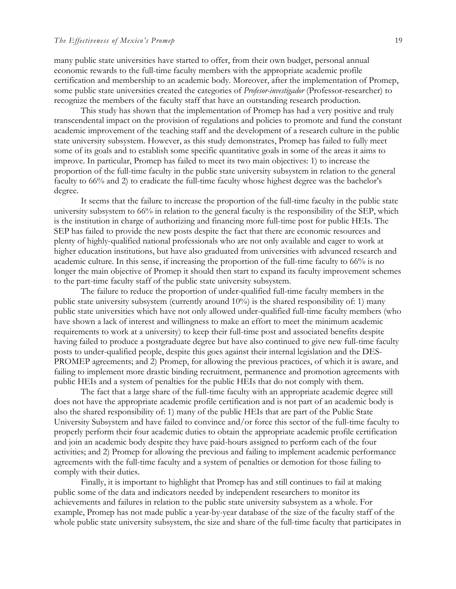many public state universities have started to offer, from their own budget, personal annual economic rewards to the full-time faculty members with the appropriate academic profile certification and membership to an academic body. Moreover, after the implementation of Promep, some public state universities created the categories of *Profesor-investigador* (Professor-researcher) to recognize the members of the faculty staff that have an outstanding research production.

This study has shown that the implementation of Promep has had a very positive and truly transcendental impact on the provision of regulations and policies to promote and fund the constant academic improvement of the teaching staff and the development of a research culture in the public state university subsystem. However, as this study demonstrates, Promep has failed to fully meet some of its goals and to establish some specific quantitative goals in some of the areas it aims to improve. In particular, Promep has failed to meet its two main objectives: 1) to increase the proportion of the full-time faculty in the public state university subsystem in relation to the general faculty to 66% and 2) to eradicate the full-time faculty whose highest degree was the bachelor's degree.

It seems that the failure to increase the proportion of the full-time faculty in the public state university subsystem to 66% in relation to the general faculty is the responsibility of the SEP, which is the institution in charge of authorizing and financing more full-time post for public HEIs. The SEP has failed to provide the new posts despite the fact that there are economic resources and plenty of highly-qualified national professionals who are not only available and eager to work at higher education institutions, but have also graduated from universities with advanced research and academic culture. In this sense, if increasing the proportion of the full-time faculty to 66% is no longer the main objective of Promep it should then start to expand its faculty improvement schemes to the part-time faculty staff of the public state university subsystem.

The failure to reduce the proportion of under-qualified full-time faculty members in the public state university subsystem (currently around 10%) is the shared responsibility of: 1) many public state universities which have not only allowed under-qualified full-time faculty members (who have shown a lack of interest and willingness to make an effort to meet the minimum academic requirements to work at a university) to keep their full-time post and associated benefits despite having failed to produce a postgraduate degree but have also continued to give new full-time faculty posts to under-qualified people, despite this goes against their internal legislation and the DES-PROMEP agreements; and 2) Promep, for allowing the previous practices, of which it is aware, and failing to implement more drastic binding recruitment, permanence and promotion agreements with public HEIs and a system of penalties for the public HEIs that do not comply with them.

The fact that a large share of the full-time faculty with an appropriate academic degree still does not have the appropriate academic profile certification and is not part of an academic body is also the shared responsibility of: 1) many of the public HEIs that are part of the Public State University Subsystem and have failed to convince and/or force this sector of the full-time faculty to properly perform their four academic duties to obtain the appropriate academic profile certification and join an academic body despite they have paid-hours assigned to perform each of the four activities; and 2) Promep for allowing the previous and failing to implement academic performance agreements with the full-time faculty and a system of penalties or demotion for those failing to comply with their duties.

Finally, it is important to highlight that Promep has and still continues to fail at making public some of the data and indicators needed by independent researchers to monitor its achievements and failures in relation to the public state university subsystem as a whole. For example, Promep has not made public a year-by-year database of the size of the faculty staff of the whole public state university subsystem, the size and share of the full-time faculty that participates in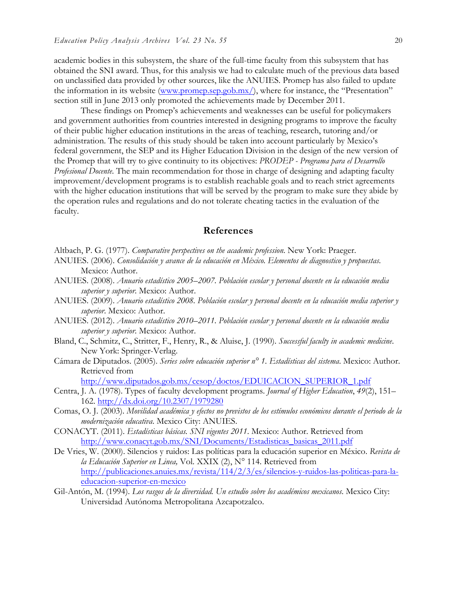academic bodies in this subsystem, the share of the full-time faculty from this subsystem that has obtained the SNI award. Thus, for this analysis we had to calculate much of the previous data based on unclassified data provided by other sources, like the ANUIES. Promep has also failed to update the information in its website (www.promep.sep.gob.mx/), where for instance, the "Presentation" section still in June 2013 only promoted the achievements made by December 2011.

These findings on Promep's achievements and weaknesses can be useful for policymakers and government authorities from countries interested in designing programs to improve the faculty of their public higher education institutions in the areas of teaching, research, tutoring and/or administration. The results of this study should be taken into account particularly by Mexico's federal government, the SEP and its Higher Education Division in the design of the new version of the Promep that will try to give continuity to its objectives: *PRODEP - Programa para el Desarrollo Profesional Docente*. The main recommendation for those in charge of designing and adapting faculty improvement/development programs is to establish reachable goals and to reach strict agreements with the higher education institutions that will be served by the program to make sure they abide by the operation rules and regulations and do not tolerate cheating tactics in the evaluation of the faculty.

### **References**

Altbach, P. G. (1977). *Comparative perspectives on the academic profession*. New York: Praeger.

- ANUIES. (2006). *Consolidación y avance de la educación en México. Elementos de diagnostico y propuestas*. Mexico: Author.
- ANUIES. (2008). *Anuario estadístico 2005–2007. Población escolar y personal docente en la educación media superior y superior*. Mexico: Author.
- ANUIES. (2009). *Anuario estadístico 2008. Población escolar y personal docente en la educación media superior y superior*. Mexico: Author.
- ANUIES. (2012). *Anuario estadístico 2010*–*2011. Población escolar y personal docente en la educación media superior y superior*. Mexico: Author.
- Bland, C., Schmitz, C., Stritter, F., Henry, R., & Aluise, J. (1990). *Successful faculty in academic medicine*. New York: Springer-Verlag.
- Cámara de Diputados. (2005). *Series sobre educación superior n° 1. Estadísticas del sistema*. Mexico: Author. Retrieved from

http://www.diputados.gob.mx/cesop/doctos/EDUICACION\_SUPERIOR\_1.pdf

- Centra, J. A. (1978). Types of faculty development programs. *Journal of Higher Education*, *49*(2), 151– 162. http://dx.doi.org/10.2307/1979280
- Comas, O. J. (2003). *Movilidad académica y efectos no previstos de los estímulos económicos durante el periodo de la modernización educativa*. Mexico City: ANUIES.
- CONACYT. (2011). *Estadísticas básicas. SNI vigentes 2011*. Mexico: Author. Retrieved from http://www.conacyt.gob.mx/SNI/Documents/Estadisticas\_basicas\_2011.pdf
- De Vries, W. (2000). Silencios y ruidos: Las políticas para la educación superior en México. *Revista de la Educación Superior en Linea,* Vol. XXIX (2), N° 114. Retrieved from http://publicaciones.anuies.mx/revista/114/2/3/es/silencios-y-ruidos-las-politicas-para-laeducacion-superior-en-mexico
- Gil-Antón, M. (1994). *Los rasgos de la diversidad. Un estudio sobre los académicos mexicanos*. Mexico City: Universidad Autónoma Metropolitana Azcapotzalco.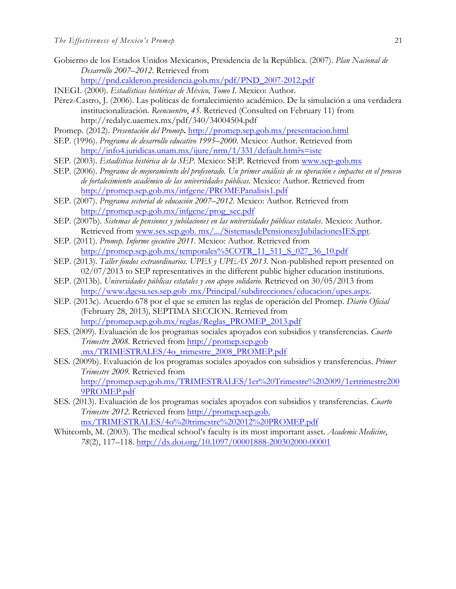Gobierno de los Estados Unidos Mexicanos, Presidencia de la República. (2007). *Plan Nacional de Desarrollo 2007*–*2012*. Retrieved from

http://pnd.calderon.presidencia.gob.mx/pdf/PND\_2007-2012.pdf

- INEGI. (2000). *Estadísticas históricas de México, Tomo I*. Mexico: Author.
- Pérez-Castro, J. (2006). Las políticas de fortalecimiento académico. De la simulación a una verdadera institucionalización. *Reencuentro*, *45*. Retrieved (Consulted on February 11) from http://redalyc.uaemex.mx/pdf/340/34004504.pdf
- Promep. (2012). *Presentación del Promep***.** http://promep.sep.gob.mx/presentacion.html
- SEP. (1996). *Programa de desarrollo educativo 1995*–*2000*. Mexico: Author. Retrieved from http://info4.juridicas.unam.mx/ijure/nrm/1/331/default.htm?s=iste
- SEP. (2003). *Estadística histórica de la SEP*. Mexico: SEP. Retrieved from www.sep-gob.mx
- SEP. (2006). *Programa de mejoramiento del profesorado. Un primer análisis de su operación e impactos en el proceso de fortalecimiento académico de las universidades públicas*. Mexico: Author. Retrieved from http://promep.sep.gob.mx/infgene/PROMEPanalisis1.pdf
- SEP. (2007). *Programa sectorial de educación 2007*–*2012*. Mexico: Author. Retrieved from http://promep.sep.gob.mx/infgene/prog\_sec.pdf
- SEP. (2007b). *Sistemas de pensiones y jubilaciones en las universidades públicas estatales*. Mexico: Author. Retrieved from www.ses.sep.gob. mx/.../SistemasdePensionesyJubilacionesIES.ppt.
- SEP. (2011). *Promep. Informe ejecutivo 2011*. Mexico: Author. Retrieved from http://promep.sep.gob.mx/temporales%5COTR\_11\_511\_S\_027\_36\_10.pdf
- SEP. (2013). *Taller fondos extraordinarios. UPES y UPEAS 2013*. Non-published report presented on 02/07/2013 to SEP representatives in the different public higher education institutions.
- SEP. (2013b). *Universidades públicas estatales y con apoyo solidario*. Retrieved on 30/05/2013 from http://www.dgesu.ses.sep.gob .mx/Principal/subdirecciones/educacion/upes.aspx.
- SEP. (2013c). Acuerdo 678 por el que se emiten las reglas de operación del Promep. *Diario Oficial*  (February 28, 2013)*,* SEPTIMA SECCION. Retrieved from http://promep.sep.gob.mx/reglas/Reglas\_PROMEP\_2013.pdf
- SES. (2009). Evaluación de los programas sociales apoyados con subsidios y transferencias. *Cuarto Trimestre 2008.* Retrieved from http://promep.sep.gob .mx/TRIMESTRALES/4o\_trimestre\_2008\_PROMEP.pdf
- SES. (2009b). Evaluación de los programas sociales apoyados con subsidios y transferencias. *Primer Trimestre 2009.* Retrieved from http://promep.sep.gob.mx/TRIMESTRALES/1er%20Trimestre%202009/1ertrimestre200 9PROMEP.pdf
- SES. (2013). Evaluación de los programas sociales apoyados con subsidios y transferencias. *Cuarto Trimestre 2012*. Retrieved from http://promep.sep.gob. mx/TRIMESTRALES/4o%20trimestre%202012%20PROMEP.pdf
- Whitcomb, M. (2003). The medical school's faculty is its most important asset. *Academic Medicine*, *78*(2), 117–118. http://dx.doi.org/10.1097/00001888-200302000-00001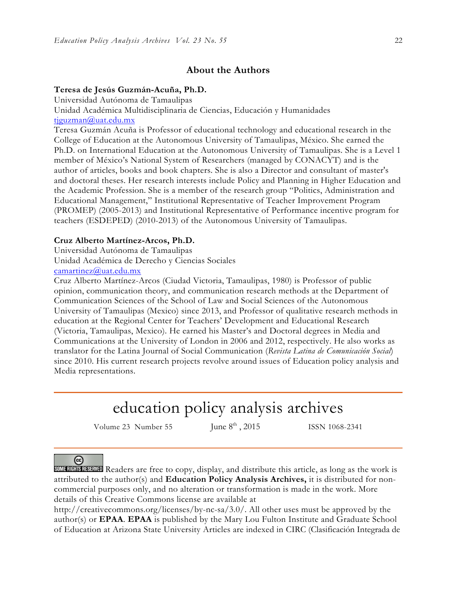## **About the Authors**

#### **Teresa de Jesús Guzmán-Acuña, Ph.D.**

Universidad Autónoma de Tamaulipas

Unidad Académica Multidisciplinaria de Ciencias, Educación y Humanidades tjguzman@uat.edu.mx

Teresa Guzmán Acuña is Professor of educational technology and educational research in the College of Education at the Autonomous University of Tamaulipas, México. She earned the Ph.D. on International Education at the Autonomous University of Tamaulipas. She is a Level 1 member of México's National System of Researchers (managed by CONACYT) and is the author of articles, books and book chapters. She is also a Director and consultant of master's and doctoral theses. Her research interests include Policy and Planning in Higher Education and the Academic Profession. She is a member of the research group "Politics, Administration and Educational Management," Institutional Representative of Teacher Improvement Program (PROMEP) (2005-2013) and Institutional Representative of Performance incentive program for teachers (ESDEPED) (2010-2013) of the Autonomous University of Tamaulipas.

#### **Cruz Alberto Martínez-Arcos, Ph.D.**

Universidad Autónoma de Tamaulipas Unidad Académica de Derecho y Ciencias Sociales camartinez@uat.edu.mx

Cruz Alberto Martínez-Arcos (Ciudad Victoria, Tamaulipas, 1980) is Professor of public opinion, communication theory, and communication research methods at the Department of Communication Sciences of the School of Law and Social Sciences of the Autonomous University of Tamaulipas (Mexico) since 2013, and Professor of qualitative research methods in education at the Regional Center for Teachers' Development and Educational Research (Victoria, Tamaulipas, Mexico). He earned his Master's and Doctoral degrees in Media and Communications at the University of London in 2006 and 2012, respectively. He also works as translator for the Latina Journal of Social Communication (*Revista Latina de Comunicación Social*) since 2010. His current research projects revolve around issues of Education policy analysis and Media representations.

# education policy analysis archives

Volume 23 Number 55 June  $8<sup>th</sup>$ , 2015 ISSN 1068-2341

## $\left($ cc

SOME RIGHTS RESERVED Readers are free to copy, display, and distribute this article, as long as the work is attributed to the author(s) and **Education Policy Analysis Archives,** it is distributed for noncommercial purposes only, and no alteration or transformation is made in the work. More details of this Creative Commons license are available at

http://creativecommons.org/licenses/by-nc-sa/3.0/. All other uses must be approved by the author(s) or **EPAA**. **EPAA** is published by the Mary Lou Fulton Institute and Graduate School of Education at Arizona State University Articles are indexed in CIRC (Clasificación Integrada de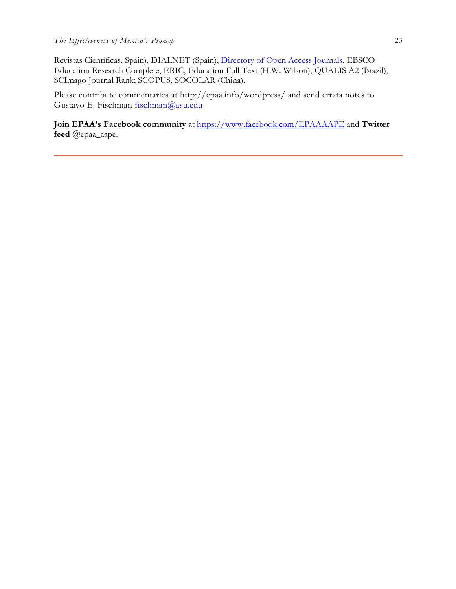Revistas Científicas, Spain), DIALNET (Spain), Directory of Open Access Journals, EBSCO Education Research Complete, ERIC, Education Full Text (H.W. Wilson), QUALIS A2 (Brazil), SCImago Journal Rank; SCOPUS, SOCOLAR (China).

Please contribute commentaries at http://epaa.info/wordpress/ and send errata notes to Gustavo E. Fischman fischman@asu.edu

**Join EPAA's Facebook community** at https://www.facebook.com/EPAAAAPE and **Twitter feed** @epaa\_aape.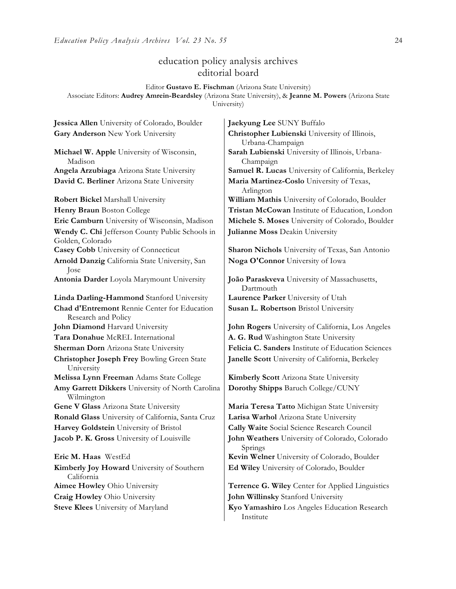## education policy analysis archives editorial board

#### Editor **Gustavo E. Fischman** (Arizona State University) Associate Editors: **Audrey Amrein-Beardsley** (Arizona State University), & **Jeanne M. Powers** (Arizona State University)

**Michael W. Apple** University of Wisconsin, Madison **David C. Berliner** Arizona State University **Maria Martinez-Coslo** University of Texas, **Wendy C. Chi** Jefferson County Public Schools in Golden, Colorado **Casey Cobb** University of Connecticut **Sharon Nichols** University of Texas, San Antonio **Arnold Danzig** California State University, San Jose **Antonia Darder** Loyola Marymount University **João Paraskveva** University of Massachusetts, **Linda Darling-Hammond** Stanford University **Laurence Parker** University of Utah **Chad d'Entremont** Rennie Center for Education Research and Policy **John Diamond** Harvard University **John Rogers** University of California, Los Angeles **Tara Donahue** McREL International **A. G. Rud** Washington State University **Christopher Joseph Frey** Bowling Green State University **Melissa Lynn Freeman** Adams State College **Kimberly Scott** Arizona State University **Amy Garrett Dikkers** University of North Carolina Wilmington **Gene V Glass** Arizona State University **Maria Teresa Tatto** Michigan State University **Ronald Glass** University of California, Santa Cruz **Larisa Warhol** Arizona State University **Harvey Goldstein** University of Bristol **Cally Waite** Social Science Research Council **Eric M. Haas** WestEd **Kevin Welner** University of Colorado, Boulder **Kimberly Joy Howard** University of Southern California

**Jessica Allen** University of Colorado, Boulder **Jaekyung Lee** SUNY Buffalo **Gary Anderson** New York University **Christopher Lubienski** University of Illinois, Urbana-Champaign **Sarah Lubienski** University of Illinois, Urbana-Champaign **Angela Arzubiaga** Arizona State University **Samuel R. Lucas** University of California, Berkeley Arlington **Robert Bickel Marshall University William Mathis University of Colorado, Boulder Henry Braun** Boston College **Tristan McCowan** Institute of Education, London **Eric Camburn** University of Wisconsin, Madison **Michele S. Moses** University of Colorado, Boulder **Julianne Moss** Deakin University

**Noga O'Connor** University of Iowa

Dartmouth **Susan L. Robertson** Bristol University

**Sherman Dorn** Arizona State University **Felicia C. Sanders** Institute of Education Sciences **Janelle Scott** University of California, Berkeley

**Dorothy Shipps** Baruch College/CUNY

**Jacob P. K. Gross** University of Louisville **John Weathers** University of Colorado, Colorado Springs **Ed Wiley** University of Colorado, Boulder

**Aimee Howley** Ohio University **Terrence G. Wiley** Center for Applied Linguistics **Craig Howley** Ohio University **John Willinsky** Stanford University

**Steve Klees** University of Maryland **Kyo Yamashiro** Los Angeles Education Research Institute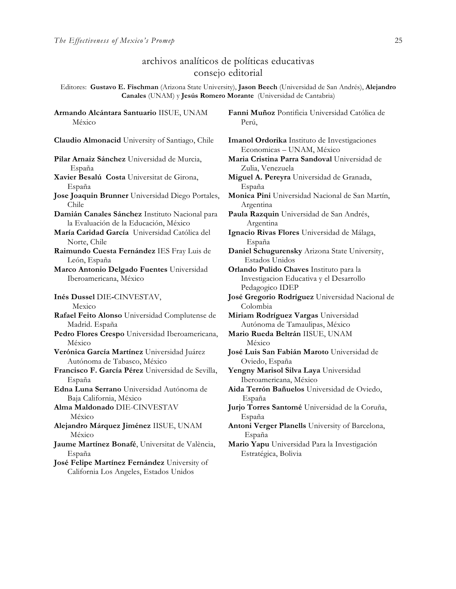**Armando Alcántara Santuario** IISUE, UNAM

## archivos analíticos de políticas educativas consejo editorial

Editores: **Gustavo E. Fischman** (Arizona State University), **Jason Beech** (Universidad de San Andrés), **Alejandro Canales** (UNAM) y **Jesús Romero Morante** (Universidad de Cantabria)

México **Claudio Almonacid** University of Santiago, Chile **Imanol Ordorika** Instituto de Investigaciones **Pilar Arnaiz Sánchez** Universidad de Murcia, España **Xavier Besalú Costa** Universitat de Girona, España **Jose Joaquin Brunner** Universidad Diego Portales, Chile **Damián Canales Sánchez** Instituto Nacional para la Evaluación de la Educación, México **María Caridad García** Universidad Católica del Norte, Chile **Raimundo Cuesta Fernández** IES Fray Luis de León, España **Marco Antonio Delgado Fuentes** Universidad Iberoamericana, México **Inés Dussel** DIE**-**CINVESTAV, Mexico **Rafael Feito Alonso** Universidad Complutense de Madrid. España **Pedro Flores Crespo** Universidad Iberoamericana, México **Verónica García Martínez** Universidad Juárez Autónoma de Tabasco, México **Francisco F. García Pérez** Universidad de Sevilla, España **Edna Luna Serrano** Universidad Autónoma de Baja California, México **Alma Maldonado** DIE-CINVESTAV México **Alejandro Márquez Jiménez** IISUE, UNAM México **Jaume Martínez Bonafé**, Universitat de València, España

**José Felipe Martínez Fernández** University of California Los Angeles, Estados Unidos

**Fanni Muñoz** Pontificia Universidad Católica de Perú,

Economicas – UNAM, México **Maria Cristina Parra Sandoval** Universidad de Zulia, Venezuela **Miguel A. Pereyra** Universidad de Granada, España **Monica Pini** Universidad Nacional de San Martín, Argentina **Paula Razquin** Universidad de San Andrés, Argentina **Ignacio Rivas Flores** Universidad de Málaga, España **Daniel Schugurensky** Arizona State University, Estados Unidos **Orlando Pulido Chaves** Instituto para la Investigacion Educativa y el Desarrollo Pedagogico IDEP **José Gregorio Rodríguez** Universidad Nacional de Colombia **Miriam Rodríguez Vargas** Universidad Autónoma de Tamaulipas, México **Mario Rueda Beltrán** IISUE, UNAM México **José Luis San Fabián Maroto** Universidad de Oviedo, España **Yengny Marisol Silva Laya** Universidad Iberoamericana, México **Aida Terrón Bañuelos** Universidad de Oviedo, España **Jurjo Torres Santomé** Universidad de la Coruña, España **Antoni Verger Planells** University of Barcelona, España **Mario Yapu** Universidad Para la Investigación Estratégica, Bolivia